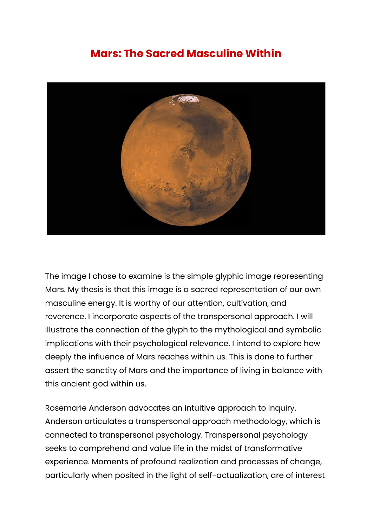## **Mars: The Sacred Masculine Within**



The image I chose to examine is the simple glyphic image representing Mars. My thesis is that this image is a sacred representation of our own masculine energy. It is worthy of our attention, cultivation, and reverence. I incorporate aspects of the transpersonal approach. I will illustrate the connection of the glyph to the mythological and symbolic implications with their psychological relevance. I intend to explore how deeply the influence of Mars reaches within us. This is done to further assert the sanctity of Mars and the importance of living in balance with this ancient god within us.

Rosemarie Anderson advocates an intuitive approach to inquiry. Anderson articulates a transpersonal approach methodology, which is connected to transpersonal psychology. Transpersonal psychology seeks to comprehend and value life in the midst of transformative experience. Moments of profound realization and processes of change, particularly when posited in the light of self-actualization, are of interest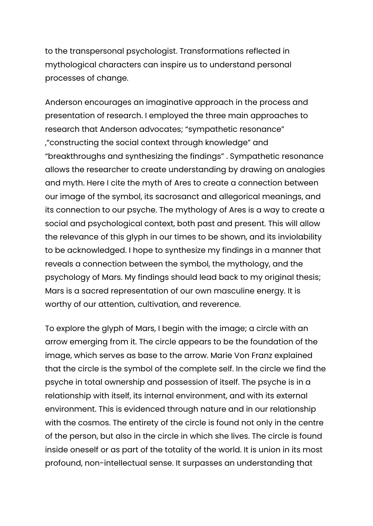to the transpersonal psychologist. Transformations reflected in mythological characters can inspire us to understand personal processes of change.

Anderson encourages an imaginative approach in the process and presentation of research. I employed the three main approaches to research that Anderson advocates; "sympathetic resonance" ,"constructing the social context through knowledge" and "breakthroughs and synthesizing the findings" . Sympathetic resonance allows the researcher to create understanding by drawing on analogies and myth. Here I cite the myth of Ares to create a connection between our image of the symbol, its sacrosanct and allegorical meanings, and its connection to our psyche. The mythology of Ares is a way to create a social and psychological context, both past and present. This will allow the relevance of this glyph in our times to be shown, and its inviolability to be acknowledged. I hope to synthesize my findings in a manner that reveals a connection between the symbol, the mythology, and the psychology of Mars. My findings should lead back to my original thesis; Mars is a sacred representation of our own masculine energy. It is worthy of our attention, cultivation, and reverence.

To explore the glyph of Mars, I begin with the image; a circle with an arrow emerging from it. The circle appears to be the foundation of the image, which serves as base to the arrow. Marie Von Franz explained that the circle is the symbol of the complete self. In the circle we find the psyche in total ownership and possession of itself. The psyche is in a relationship with itself, its internal environment, and with its external environment. This is evidenced through nature and in our relationship with the cosmos. The entirety of the circle is found not only in the centre of the person, but also in the circle in which she lives. The circle is found inside oneself or as part of the totality of the world. It is union in its most profound, non-intellectual sense. It surpasses an understanding that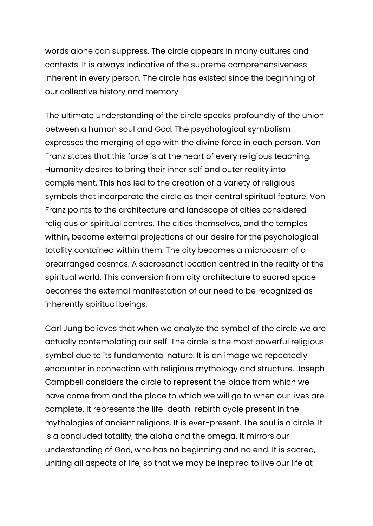words alone can suppress. The circle appears in many cultures and contexts. It is always indicative of the supreme comprehensiveness inherent in every person. The circle has existed since the beginning of our collective history and memory.

The ultimate understanding of the circle speaks profoundly of the union between a human soul and God. The psychological symbolism expresses the merging of ego with the divine force in each person. Von Franz states that this force is at the heart of every religious teaching. Humanity desires to bring their inner self and outer reality into complement. This has led to the creation of a variety of religious symbols that incorporate the circle as their central spiritual feature. Von Franz points to the architecture and landscape of cities considered religious or spiritual centres. The cities themselves, and the temples within, become external projections of our desire for the psychological totality contained within them. The city becomes a microcosm of a prearranged cosmos. A sacrosanct location centred in the reality of the spiritual world. This conversion from city architecture to sacred space becomes the external manifestation of our need to be recognized as inherently spiritual beings.

Carl Jung believes that when we analyze the symbol of the circle we are actually contemplating our self. The circle is the most powerful religious symbol due to its fundamental nature. It is an image we repeatedly encounter in connection with religious mythology and structure. Joseph Campbell considers the circle to represent the place from which we have come from and the place to which we will go to when our lives are complete. It represents the life-death-rebirth cycle present in the mythologies of ancient religions. It is ever-present. The soul is a circle. It is a concluded totality, the alpha and the omega. It mirrors our understanding of God, who has no beginning and no end. It is sacred, uniting all aspects of life, so that we may be inspired to live our life at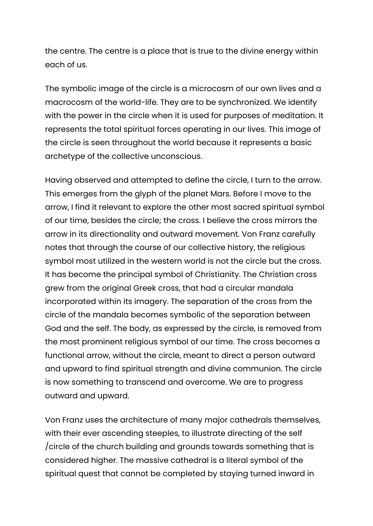the centre. The centre is a place that is true to the divine energy within each of us.

The symbolic image of the circle is a microcosm of our own lives and a macrocosm of the world-life. They are to be synchronized. We identify with the power in the circle when it is used for purposes of meditation. It represents the total spiritual forces operating in our lives. This image of the circle is seen throughout the world because it represents a basic archetype of the collective unconscious.

Having observed and attempted to define the circle, I turn to the arrow. This emerges from the glyph of the planet Mars. Before I move to the arrow, I find it relevant to explore the other most sacred spiritual symbol of our time, besides the circle; the cross. I believe the cross mirrors the arrow in its directionality and outward movement. Von Franz carefully notes that through the course of our collective history, the religious symbol most utilized in the western world is not the circle but the cross. It has become the principal symbol of Christianity. The Christian cross grew from the original Greek cross, that had a circular mandala incorporated within its imagery. The separation of the cross from the circle of the mandala becomes symbolic of the separation between God and the self. The body, as expressed by the circle, is removed from the most prominent religious symbol of our time. The cross becomes a functional arrow, without the circle, meant to direct a person outward and upward to find spiritual strength and divine communion. The circle is now something to transcend and overcome. We are to progress outward and upward.

Von Franz uses the architecture of many major cathedrals themselves, with their ever ascending steeples, to illustrate directing of the self /circle of the church building and grounds towards something that is considered higher. The massive cathedral is a literal symbol of the spiritual quest that cannot be completed by staying turned inward in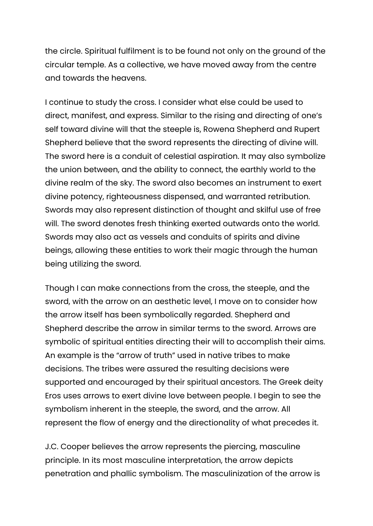the circle. Spiritual fulfilment is to be found not only on the ground of the circular temple. As a collective, we have moved away from the centre and towards the heavens.

I continue to study the cross. I consider what else could be used to direct, manifest, and express. Similar to the rising and directing of one's self toward divine will that the steeple is, Rowena Shepherd and Rupert Shepherd believe that the sword represents the directing of divine will. The sword here is a conduit of celestial aspiration. It may also symbolize the union between, and the ability to connect, the earthly world to the divine realm of the sky. The sword also becomes an instrument to exert divine potency, righteousness dispensed, and warranted retribution. Swords may also represent distinction of thought and skilful use of free will. The sword denotes fresh thinking exerted outwards onto the world. Swords may also act as vessels and conduits of spirits and divine beings, allowing these entities to work their magic through the human being utilizing the sword.

Though I can make connections from the cross, the steeple, and the sword, with the arrow on an aesthetic level, I move on to consider how the arrow itself has been symbolically regarded. Shepherd and Shepherd describe the arrow in similar terms to the sword. Arrows are symbolic of spiritual entities directing their will to accomplish their aims. An example is the "arrow of truth" used in native tribes to make decisions. The tribes were assured the resulting decisions were supported and encouraged by their spiritual ancestors. The Greek deity Eros uses arrows to exert divine love between people. I begin to see the symbolism inherent in the steeple, the sword, and the arrow. All represent the flow of energy and the directionality of what precedes it.

J.C. Cooper believes the arrow represents the piercing, masculine principle. In its most masculine interpretation, the arrow depicts penetration and phallic symbolism. The masculinization of the arrow is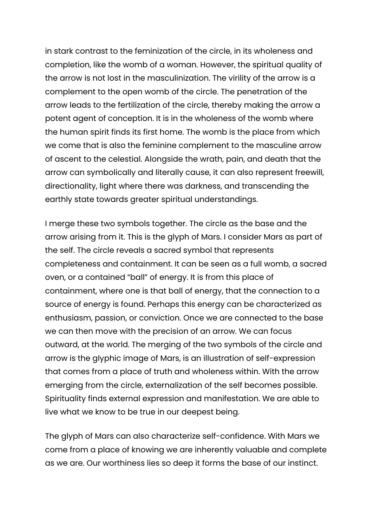in stark contrast to the feminization of the circle, in its wholeness and completion, like the womb of a woman. However, the spiritual quality of the arrow is not lost in the masculinization. The virility of the arrow is a complement to the open womb of the circle. The penetration of the arrow leads to the fertilization of the circle, thereby making the arrow a potent agent of conception. It is in the wholeness of the womb where the human spirit finds its first home. The womb is the place from which we come that is also the feminine complement to the masculine arrow of ascent to the celestial. Alongside the wrath, pain, and death that the arrow can symbolically and literally cause, it can also represent freewill, directionality, light where there was darkness, and transcending the earthly state towards greater spiritual understandings.

I merge these two symbols together. The circle as the base and the arrow arising from it. This is the glyph of Mars. I consider Mars as part of the self. The circle reveals a sacred symbol that represents completeness and containment. It can be seen as a full womb, a sacred oven, or a contained "ball" of energy. It is from this place of containment, where one is that ball of energy, that the connection to a source of energy is found. Perhaps this energy can be characterized as enthusiasm, passion, or conviction. Once we are connected to the base we can then move with the precision of an arrow. We can focus outward, at the world. The merging of the two symbols of the circle and arrow is the glyphic image of Mars, is an illustration of self-expression that comes from a place of truth and wholeness within. With the arrow emerging from the circle, externalization of the self becomes possible. Spirituality finds external expression and manifestation. We are able to live what we know to be true in our deepest being.

The glyph of Mars can also characterize self-confidence. With Mars we come from a place of knowing we are inherently valuable and complete as we are. Our worthiness lies so deep it forms the base of our instinct.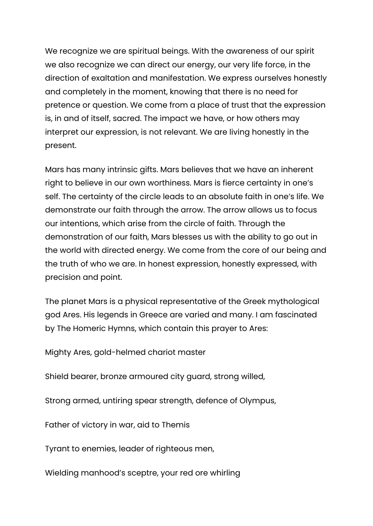We recognize we are spiritual beings. With the awareness of our spirit we also recognize we can direct our energy, our very life force, in the direction of exaltation and manifestation. We express ourselves honestly and completely in the moment, knowing that there is no need for pretence or question. We come from a place of trust that the expression is, in and of itself, sacred. The impact we have, or how others may interpret our expression, is not relevant. We are living honestly in the present.

Mars has many intrinsic gifts. Mars believes that we have an inherent right to believe in our own worthiness. Mars is fierce certainty in one's self. The certainty of the circle leads to an absolute faith in one's life. We demonstrate our faith through the arrow. The arrow allows us to focus our intentions, which arise from the circle of faith. Through the demonstration of our faith, Mars blesses us with the ability to go out in the world with directed energy. We come from the core of our being and the truth of who we are. In honest expression, honestly expressed, with precision and point.

The planet Mars is a physical representative of the Greek mythological god Ares. His legends in Greece are varied and many. I am fascinated by The Homeric Hymns, which contain this prayer to Ares:

Mighty Ares, gold-helmed chariot master

Shield bearer, bronze armoured city guard, strong willed,

Strong armed, untiring spear strength, defence of Olympus,

Father of victory in war, aid to Themis

Tyrant to enemies, leader of righteous men,

Wielding manhood's sceptre, your red ore whirling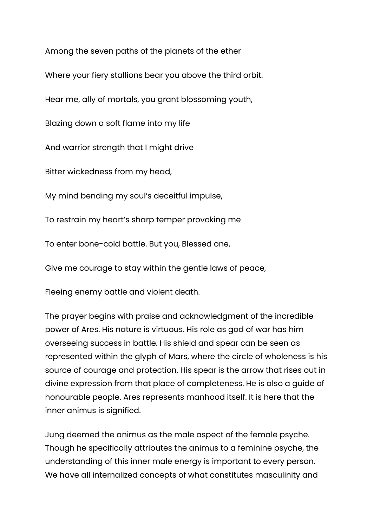Among the seven paths of the planets of the ether

Where your fiery stallions bear you above the third orbit.

Hear me, ally of mortals, you grant blossoming youth,

Blazing down a soft flame into my life

And warrior strength that I might drive

Bitter wickedness from my head,

My mind bending my soul's deceitful impulse,

To restrain my heart's sharp temper provoking me

To enter bone-cold battle. But you, Blessed one,

Give me courage to stay within the gentle laws of peace,

Fleeing enemy battle and violent death.

The prayer begins with praise and acknowledgment of the incredible power of Ares. His nature is virtuous. His role as god of war has him overseeing success in battle. His shield and spear can be seen as represented within the glyph of Mars, where the circle of wholeness is his source of courage and protection. His spear is the arrow that rises out in divine expression from that place of completeness. He is also a guide of honourable people. Ares represents manhood itself. It is here that the inner animus is signified.

Jung deemed the animus as the male aspect of the female psyche. Though he specifically attributes the animus to a feminine psyche, the understanding of this inner male energy is important to every person. We have all internalized concepts of what constitutes masculinity and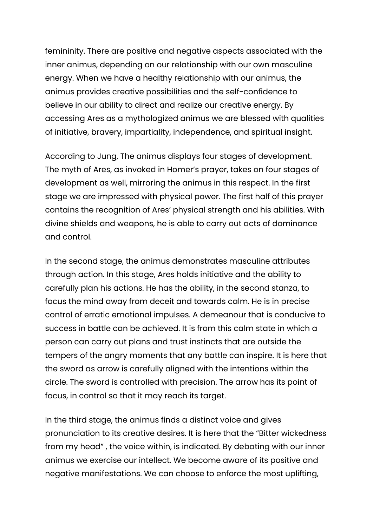femininity. There are positive and negative aspects associated with the inner animus, depending on our relationship with our own masculine energy. When we have a healthy relationship with our animus, the animus provides creative possibilities and the self-confidence to believe in our ability to direct and realize our creative energy. By accessing Ares as a mythologized animus we are blessed with qualities of initiative, bravery, impartiality, independence, and spiritual insight.

According to Jung, The animus displays four stages of development. The myth of Ares, as invoked in Homer's prayer, takes on four stages of development as well, mirroring the animus in this respect. In the first stage we are impressed with physical power. The first half of this prayer contains the recognition of Ares' physical strength and his abilities. With divine shields and weapons, he is able to carry out acts of dominance and control.

In the second stage, the animus demonstrates masculine attributes through action. In this stage, Ares holds initiative and the ability to carefully plan his actions. He has the ability, in the second stanza, to focus the mind away from deceit and towards calm. He is in precise control of erratic emotional impulses. A demeanour that is conducive to success in battle can be achieved. It is from this calm state in which a person can carry out plans and trust instincts that are outside the tempers of the angry moments that any battle can inspire. It is here that the sword as arrow is carefully aligned with the intentions within the circle. The sword is controlled with precision. The arrow has its point of focus, in control so that it may reach its target.

In the third stage, the animus finds a distinct voice and gives pronunciation to its creative desires. It is here that the "Bitter wickedness from my head" , the voice within, is indicated. By debating with our inner animus we exercise our intellect. We become aware of its positive and negative manifestations. We can choose to enforce the most uplifting,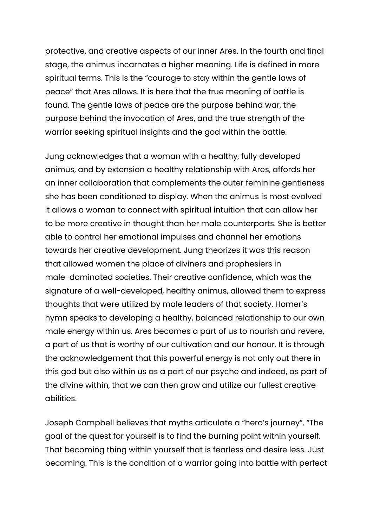protective, and creative aspects of our inner Ares. In the fourth and final stage, the animus incarnates a higher meaning. Life is defined in more spiritual terms. This is the "courage to stay within the gentle laws of peace" that Ares allows. It is here that the true meaning of battle is found. The gentle laws of peace are the purpose behind war, the purpose behind the invocation of Ares, and the true strength of the warrior seeking spiritual insights and the god within the battle.

Jung acknowledges that a woman with a healthy, fully developed animus, and by extension a healthy relationship with Ares, affords her an inner collaboration that complements the outer feminine gentleness she has been conditioned to display. When the animus is most evolved it allows a woman to connect with spiritual intuition that can allow her to be more creative in thought than her male counterparts. She is better able to control her emotional impulses and channel her emotions towards her creative development. Jung theorizes it was this reason that allowed women the place of diviners and prophesiers in male-dominated societies. Their creative confidence, which was the signature of a well-developed, healthy animus, allowed them to express thoughts that were utilized by male leaders of that society. Homer's hymn speaks to developing a healthy, balanced relationship to our own male energy within us. Ares becomes a part of us to nourish and revere, a part of us that is worthy of our cultivation and our honour. It is through the acknowledgement that this powerful energy is not only out there in this god but also within us as a part of our psyche and indeed, as part of the divine within, that we can then grow and utilize our fullest creative abilities.

Joseph Campbell believes that myths articulate a "hero's journey". "The goal of the quest for yourself is to find the burning point within yourself. That becoming thing within yourself that is fearless and desire less. Just becoming. This is the condition of a warrior going into battle with perfect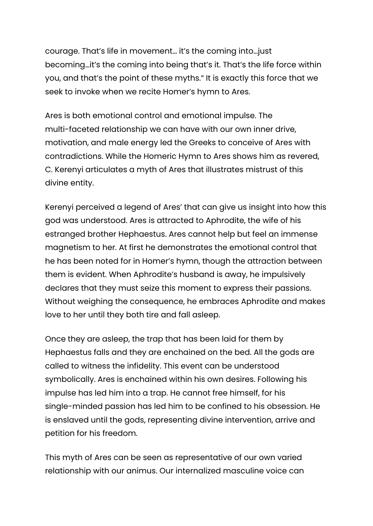courage. That's life in movement… it's the coming into…just becoming…it's the coming into being that's it. That's the life force within you, and that's the point of these myths." It is exactly this force that we seek to invoke when we recite Homer's hymn to Ares.

Ares is both emotional control and emotional impulse. The multi-faceted relationship we can have with our own inner drive, motivation, and male energy led the Greeks to conceive of Ares with contradictions. While the Homeric Hymn to Ares shows him as revered, C. Kerenyi articulates a myth of Ares that illustrates mistrust of this divine entity.

Kerenyi perceived a legend of Ares' that can give us insight into how this god was understood. Ares is attracted to Aphrodite, the wife of his estranged brother Hephaestus. Ares cannot help but feel an immense magnetism to her. At first he demonstrates the emotional control that he has been noted for in Homer's hymn, though the attraction between them is evident. When Aphrodite's husband is away, he impulsively declares that they must seize this moment to express their passions. Without weighing the consequence, he embraces Aphrodite and makes love to her until they both tire and fall asleep.

Once they are asleep, the trap that has been laid for them by Hephaestus falls and they are enchained on the bed. All the gods are called to witness the infidelity. This event can be understood symbolically. Ares is enchained within his own desires. Following his impulse has led him into a trap. He cannot free himself, for his single-minded passion has led him to be confined to his obsession. He is enslaved until the gods, representing divine intervention, arrive and petition for his freedom.

This myth of Ares can be seen as representative of our own varied relationship with our animus. Our internalized masculine voice can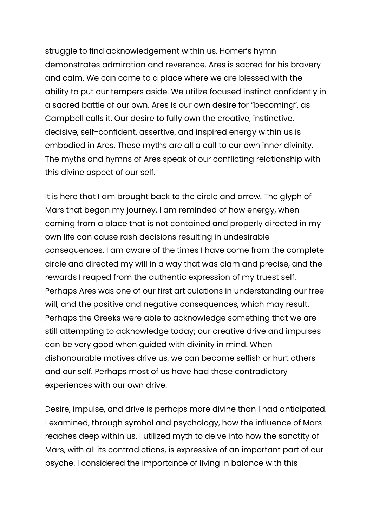struggle to find acknowledgement within us. Homer's hymn demonstrates admiration and reverence. Ares is sacred for his bravery and calm. We can come to a place where we are blessed with the ability to put our tempers aside. We utilize focused instinct confidently in a sacred battle of our own. Ares is our own desire for "becoming", as Campbell calls it. Our desire to fully own the creative, instinctive, decisive, self-confident, assertive, and inspired energy within us is embodied in Ares. These myths are all a call to our own inner divinity. The myths and hymns of Ares speak of our conflicting relationship with this divine aspect of our self.

It is here that I am brought back to the circle and arrow. The glyph of Mars that began my journey. I am reminded of how energy, when coming from a place that is not contained and properly directed in my own life can cause rash decisions resulting in undesirable consequences. I am aware of the times I have come from the complete circle and directed my will in a way that was clam and precise, and the rewards I reaped from the authentic expression of my truest self. Perhaps Ares was one of our first articulations in understanding our free will, and the positive and negative consequences, which may result. Perhaps the Greeks were able to acknowledge something that we are still attempting to acknowledge today; our creative drive and impulses can be very good when guided with divinity in mind. When dishonourable motives drive us, we can become selfish or hurt others and our self. Perhaps most of us have had these contradictory experiences with our own drive.

Desire, impulse, and drive is perhaps more divine than I had anticipated. I examined, through symbol and psychology, how the influence of Mars reaches deep within us. I utilized myth to delve into how the sanctity of Mars, with all its contradictions, is expressive of an important part of our psyche. I considered the importance of living in balance with this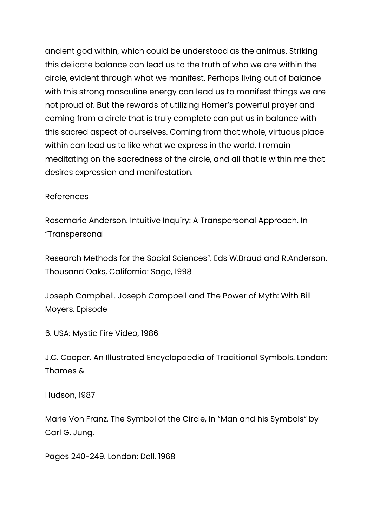ancient god within, which could be understood as the animus. Striking this delicate balance can lead us to the truth of who we are within the circle, evident through what we manifest. Perhaps living out of balance with this strong masculine energy can lead us to manifest things we are not proud of. But the rewards of utilizing Homer's powerful prayer and coming from a circle that is truly complete can put us in balance with this sacred aspect of ourselves. Coming from that whole, virtuous place within can lead us to like what we express in the world. I remain meditating on the sacredness of the circle, and all that is within me that desires expression and manifestation.

## References

Rosemarie Anderson. Intuitive Inquiry: A Transpersonal Approach. In "Transpersonal

Research Methods for the Social Sciences". Eds W.Braud and R.Anderson. Thousand Oaks, California: Sage, 1998

Joseph Campbell. Joseph Campbell and The Power of Myth: With Bill Moyers. Episode

6. USA: Mystic Fire Video, 1986

J.C. Cooper. An Illustrated Encyclopaedia of Traditional Symbols. London: Thames &

Hudson, 1987

Marie Von Franz. The Symbol of the Circle, In "Man and his Symbols" by Carl G. Jung.

Pages 240-249. London: Dell, 1968